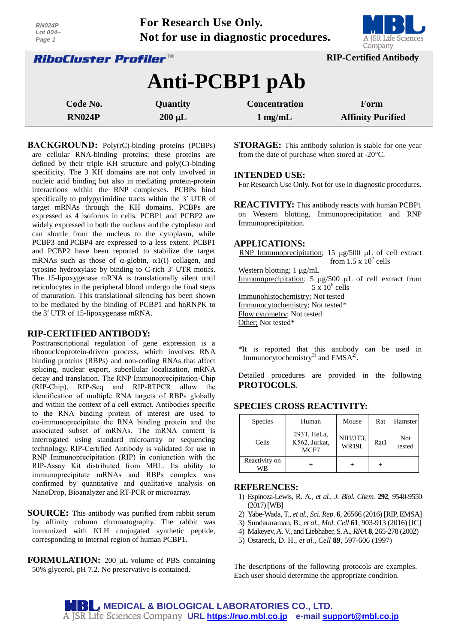| Lot $004-$<br>Page 1                                          | . .<br>DI 91<br>Not for use in diagnostic procedures.<br>A JSR Life Sciences<br>Company |                      |                          |  |  |  |
|---------------------------------------------------------------|-----------------------------------------------------------------------------------------|----------------------|--------------------------|--|--|--|
| <b>RIP-Certified Antibody</b><br><i>RiboCluster Profiler™</i> |                                                                                         |                      |                          |  |  |  |
| Anti-PCBP1 pAb                                                |                                                                                         |                      |                          |  |  |  |
| Code No.                                                      | Quantity                                                                                | <b>Concentration</b> | Form                     |  |  |  |
| <b>RN024P</b>                                                 | $200 \mu L$                                                                             | $1 \text{ mg/mL}$    | <b>Affinity Purified</b> |  |  |  |

**For Research Use Only.**

**BACKGROUND:** Poly(rC)-binding proteins (PCBPs) are cellular RNA-binding proteins; these proteins are defined by their triple KH structure and poly(C)-binding specificity. The 3 KH domains are not only involved in nucleic acid binding but also in mediating protein-protein interactions within the RNP complexes. PCBPs bind specifically to polypyrimidine tracts within the 3′ UTR of target mRNAs through the KH domains. PCBPs are expressed as 4 isoforms in cells. PCBP1 and PCBP2 are widely expressed in both the nucleus and the cytoplasm and can shuttle from the nucleus to the cytoplasm, while PCBP3 and PCBP4 are expressed to a less extent. PCBP1 and PCBP2 have been reported to stabilize the target mRNAs such as those of  $\alpha$ -globin,  $\alpha$ 1(I) collagen, and tyrosine hydroxylase by binding to C-rich 3′ UTR motifs. The 15-lipoxygenase mRNA is translationally silent until reticulocytes in the peripheral blood undergo the final steps of maturation. This translational silencing has been shown to be mediated by the binding of PCBP1 and hnRNPK to the 3′ UTR of 15-lipoxygenase mRNA.

## **RIP-CERTIFIED ANTIBODY:**

*RN024P*

Posttranscriptional regulation of gene expression is a ribonucleoprotein-driven process, which involves RNA binding proteins (RBPs) and non-coding RNAs that affect splicing, nuclear export, subcellular localization, mRNA decay and translation. The RNP Immunoprecipitation-Chip (RIP-Chip), RIP-Seq and RIP-RTPCR allow the identification of multiple RNA targets of RBPs globally and within the context of a cell extract. Antibodies specific to the RNA binding protein of interest are used to co-immunoprecipitate the RNA binding protein and the associated subset of mRNAs. The mRNA content is interrogated using standard microarray or sequencing technology. RIP-Certified Antibody is validated for use in RNP Immunoprecipitation (RIP) in conjunction with the RIP-Assay Kit distributed from MBL. Its ability to immunoprecipitate mRNAs and RBPs complex was confirmed by quantitative and qualitative analysis on NanoDrop, Bioanalyzer and RT-PCR or microarray.

**SOURCE:** This antibody was purified from rabbit serum by affinity column chromatography. The rabbit was immunized with KLH conjugated synthetic peptide, corresponding to internal region of human PCBP1.

**FORMULATION:** 200 µL volume of PBS containing 50% glycerol, pH 7.2. No preservative is contained.

**STORAGE:** This antibody solution is stable for one year from the date of purchase when stored at -20°C.

#### **INTENDED USE:**

For Research Use Only. Not for use in diagnostic procedures.

**REACTIVITY:** This antibody reacts with human PCBP1 on Western blotting, Immunoprecipitation and RNP Immunoprecipitation.

#### **APPLICATIONS:**

RNP Immunoprecipitation; 15  $\mu$ g/500  $\mu$ L of cell extract from  $1.5 \times 10^7$  cells Western blotting;  $1 \mu g/mL$ Immunoprecipitation; 5  $\mu$ g/500  $\mu$ L of cell extract from  $5 \times 10^6$  cells

Immunohistochemistry; Not tested

Immunocytochemistry; Not tested\*

Flow cytometry; Not tested

Other; Not tested\*

\*It is reported that this antibody can be used in Immunocytochemistry<sup>3)</sup> and  $EMSA<sup>2</sup>$ .

Detailed procedures are provided in the following **PROTOCOLS**.

## **SPECIES CROSS REACTIVITY:**

| Species             | Human                                | Mouse                    | Rat  | Hamster       |
|---------------------|--------------------------------------|--------------------------|------|---------------|
| Cells               | 293T, HeLa,<br>K562, Jurkat,<br>MCF7 | NIH/3T3,<br><b>WR19L</b> | Rat1 | Not<br>tested |
| Reactivity on<br>WB |                                      |                          |      |               |

#### **REFERENCES:**

- 2) Yabe-Wada, T., *et al., Sci. Rep*. **6**, 26566 (2016) [RIP, EMSA]
- 3) Sundararaman, B., *et al.*, *Mol. Cell* **61**, 903-913 (2016) [IC]
- 4) Makeyev, A. V., and Liebhaber, S. A., *RNA* **8**, 265-278 (2002)
- 5) Ostareck, D. H., *et al., Cell* **89**, 597-606 (1997)

The descriptions of the following protocols are examples. Each user should determine the appropriate condition.

<sup>1)</sup> Espinoza-Lewis, R. A., *et al., J. Biol. Chem.* **292**, 9540-9550 (2017)[WB]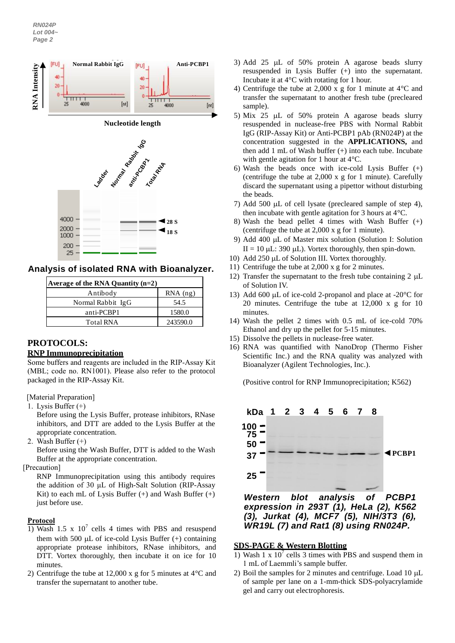

**Analysis of isolated RNA with Bioanalyzer.**

| Average of the RNA Quantity $(n=2)$ |            |  |  |  |
|-------------------------------------|------------|--|--|--|
| Antibody                            | $RNA$ (ng) |  |  |  |
| Normal Rabbit IgG                   | 54.5       |  |  |  |
| anti-PCBP1                          | 1580.0     |  |  |  |
| <b>Total RNA</b>                    | 243590.0   |  |  |  |

# **PROTOCOLS: RNP Immunoprecipitation**

Some buffers and reagents are included in the RIP-Assay Kit (MBL; code no. RN1001). Please also refer to the protocol packaged in the RIP-Assay Kit.

[Material Preparation]

1. Lysis Buffer (+)

Before using the Lysis Buffer, protease inhibitors, RNase inhibitors, and DTT are added to the Lysis Buffer at the appropriate concentration.

2. Wash Buffer (+)

Before using the Wash Buffer, DTT is added to the Wash Buffer at the appropriate concentration.

[Precaution]

RNP Immunoprecipitation using this antibody requires the addition of 30 μL of High-Salt Solution (RIP-Assay Kit) to each mL of Lysis Buffer  $(+)$  and Wash Buffer  $(+)$ just before use.

# **Protocol**

- 1) Wash 1.5 x  $10^7$  cells 4 times with PBS and resuspend them with 500  $\mu$ L of ice-cold Lysis Buffer (+) containing appropriate protease inhibitors, RNase inhibitors, and DTT. Vortex thoroughly, then incubate it on ice for 10 minutes.
- 2) Centrifuge the tube at 12,000 x g for 5 minutes at 4°C and transfer the supernatant to another tube.
- 3) Add 25  $\mu$ L of 50% protein A agarose beads slurry resuspended in Lysis Buffer (+) into the supernatant. Incubate it at 4°C with rotating for 1 hour.
- 4) Centrifuge the tube at 2,000 x g for 1 minute at 4°C and transfer the supernatant to another fresh tube (precleared sample).
- 5) Mix 25  $\mu$ L of 50% protein A agarose beads slurry resuspended in nuclease-free PBS with Normal Rabbit IgG (RIP-Assay Kit) or Anti-PCBP1 pAb (RN024P) at the concentration suggested in the **APPLICATIONS,** and then add 1 mL of Wash buffer (+) into each tube. Incubate with gentle agitation for 1 hour at 4°C.
- 6) Wash the beads once with ice-cold Lysis Buffer  $(+)$ (centrifuge the tube at 2,000 x g for 1 minute). Carefully discard the supernatant using a pipettor without disturbing the beads.
- 7) Add 500  $\mu$ L of cell lysate (precleared sample of step 4), then incubate with gentle agitation for 3 hours at 4°C.
- 8) Wash the bead pellet 4 times with Wash Buffer (+) (centrifuge the tube at 2,000 x g for 1 minute).
- 9) Add 400 µL of Master mix solution (Solution I: Solution II = 10  $\mu$ L: 390  $\mu$ L). Vortex thoroughly, then spin-down.
- 10) Add  $250 \mu L$  of Solution III. Vortex thoroughly.
- 11) Centrifuge the tube at 2,000 x g for 2 minutes.
- 12) Transfer the supernatant to the fresh tube containing  $2 \mu L$ of Solution IV.
- 13) Add 600  $\mu$ L of ice-cold 2-propanol and place at -20 $\degree$ C for 20 minutes. Centrifuge the tube at 12,000 x g for 10 minutes.
- 14) Wash the pellet 2 times with 0.5 mL of ice-cold 70% Ethanol and dry up the pellet for 5-15 minutes.
- 15) Dissolve the pellets in nuclease-free water.
- 16) RNA was quantified with NanoDrop (Thermo Fisher Scientific Inc.) and the RNA quality was analyzed with Bioanalyzer (Agilent Technologies, Inc.).

(Positive control for RNP Immunoprecipitation; K562)



*Western blot analysis of PCBP1 expression in 293T (1), HeLa (2), K562 (3), Jurkat (4), MCF7 (5), NIH/3T3 (6), WR19L (7) and Rat1 (8) using RN024P.*

# **SDS-PAGE & Western Blotting**

- 1) Wash 1 x  $10^7$  cells 3 times with PBS and suspend them in 1 mL of Laemmli's sample buffer.
- 2) Boil the samples for 2 minutes and centrifuge. Load  $10 \mu L$ of sample per lane on a 1-mm-thick SDS-polyacrylamide gel and carry out electrophoresis.